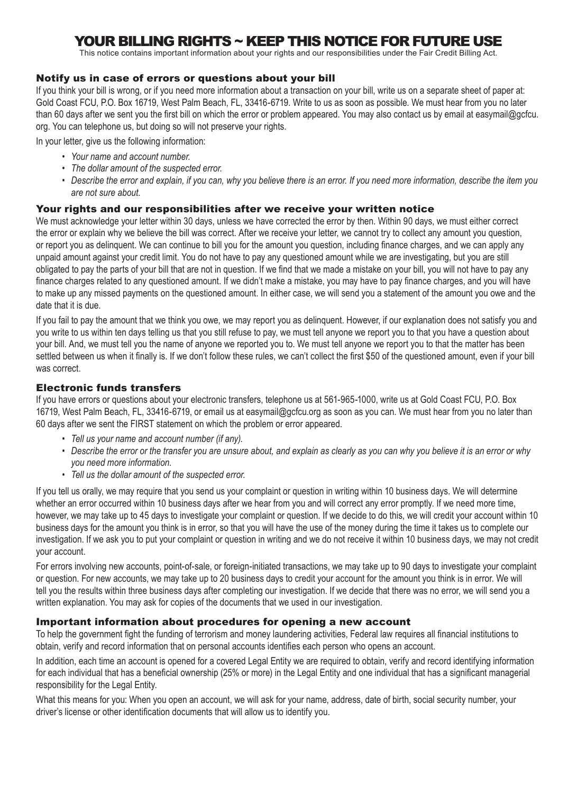# YOUR BILLING RIGHTS ~ KEEP THIS NOTICE FOR FUTURE USE

This notice contains important information about your rights and our responsibilities under the Fair Credit Billing Act.

### Notify us in case of errors or questions about your bill

If you think your bill is wrong, or if you need more information about a transaction on your bill, write us on a separate sheet of paper at: Gold Coast FCU, P.O. Box 16719, West Palm Beach, FL, 33416-6719. Write to us as soon as possible. We must hear from you no later than 60 days after we sent you the first bill on which the error or problem appeared. You may also contact us by email at easymail@gcfcu. org. You can telephone us, but doing so will not preserve your rights.

In your letter, give us the following information:

- *• Your name and account number.*
- *• The dollar amount of the suspected error.*
- *• Describe the error and explain, if you can, why you believe there is an error. If you need more information, describe the item you are not sure about.*

### Your rights and our responsibilities after we receive your written notice

We must acknowledge your letter within 30 days, unless we have corrected the error by then. Within 90 days, we must either correct the error or explain why we believe the bill was correct. After we receive your letter, we cannot try to collect any amount you question, or report you as delinquent. We can continue to bill you for the amount you question, including finance charges, and we can apply any unpaid amount against your credit limit. You do not have to pay any questioned amount while we are investigating, but you are still obligated to pay the parts of your bill that are not in question. If we find that we made a mistake on your bill, you will not have to pay any finance charges related to any questioned amount. If we didn't make a mistake, you may have to pay finance charges, and you will have to make up any missed payments on the questioned amount. In either case, we will send you a statement of the amount you owe and the date that it is due.

If you fail to pay the amount that we think you owe, we may report you as delinquent. However, if our explanation does not satisfy you and you write to us within ten days telling us that you still refuse to pay, we must tell anyone we report you to that you have a question about your bill. And, we must tell you the name of anyone we reported you to. We must tell anyone we report you to that the matter has been settled between us when it finally is. If we don't follow these rules, we can't collect the first \$50 of the questioned amount, even if your bill was correct.

### Electronic funds transfers

If you have errors or questions about your electronic transfers, telephone us at 561-965-1000, write us at Gold Coast FCU, P.O. Box 16719, West Palm Beach, FL, 33416-6719, or email us at easymail@gcfcu.org as soon as you can. We must hear from you no later than 60 days after we sent the FIRST statement on which the problem or error appeared.

- *• Tell us your name and account number (if any).*
- *• Describe the error or the transfer you are unsure about, and explain as clearly as you can why you believe it is an error or why you need more information.*
- *• Tell us the dollar amount of the suspected error.*

If you tell us orally, we may require that you send us your complaint or question in writing within 10 business days. We will determine whether an error occurred within 10 business days after we hear from you and will correct any error promptly. If we need more time, however, we may take up to 45 days to investigate your complaint or question. If we decide to do this, we will credit your account within 10 business days for the amount you think is in error, so that you will have the use of the money during the time it takes us to complete our investigation. If we ask you to put your complaint or question in writing and we do not receive it within 10 business days, we may not credit your account.

For errors involving new accounts, point-of-sale, or foreign-initiated transactions, we may take up to 90 days to investigate your complaint or question. For new accounts, we may take up to 20 business days to credit your account for the amount you think is in error. We will tell you the results within three business days after completing our investigation. If we decide that there was no error, we will send you a written explanation. You may ask for copies of the documents that we used in our investigation.

#### Important information about procedures for opening a new account

To help the government fight the funding of terrorism and money laundering activities, Federal law requires all financial institutions to obtain, verify and record information that on personal accounts identifies each person who opens an account.

In addition, each time an account is opened for a covered Legal Entity we are required to obtain, verify and record identifying information for each individual that has a beneficial ownership (25% or more) in the Legal Entity and one individual that has a significant managerial responsibility for the Legal Entity.

What this means for you: When you open an account, we will ask for your name, address, date of birth, social security number, your driver's license or other identification documents that will allow us to identify you.